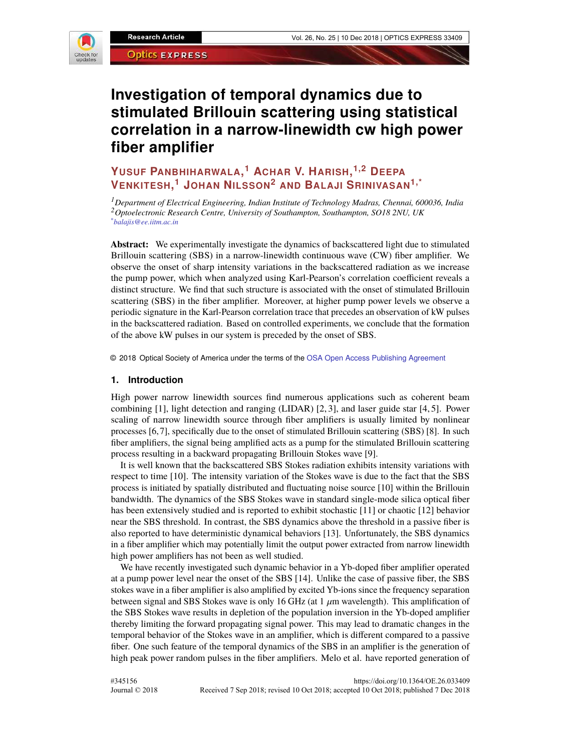

# **Investigation of temporal dynamics due to stimulated Brillouin scattering using statistical correlation in a narrow-linewidth cw high power fiber amplifier**

## **YUSUF PANBHIHARWALA, <sup>1</sup> ACHAR V. HARISH, 1,2 DEEPA VENKITESH, <sup>1</sup> JOHAN NILSSON<sup>2</sup> AND BALAJI SRINIVASAN1,\***

*<sup>1</sup>Department of Electrical Engineering, Indian Institute of Technology Madras, Chennai, 600036, India <sup>2</sup>Optoelectronic Research Centre, University of Southampton, Southampton, SO18 2NU, UK \*balajis@ee.iitm.ac.in*

**Abstract:** We experimentally investigate the dynamics of backscattered light due to stimulated Brillouin scattering (SBS) in a narrow-linewidth continuous wave (CW) fiber amplifier. We observe the onset of sharp intensity variations in the backscattered radiation as we increase the pump power, which when analyzed using Karl-Pearson's correlation coefficient reveals a distinct structure. We find that such structure is associated with the onset of stimulated Brillouin scattering (SBS) in the fiber amplifier. Moreover, at higher pump power levels we observe a periodic signature in the Karl-Pearson correlation trace that precedes an observation of kW pulses in the backscattered radiation. Based on controlled experiments, we conclude that the formation of the above kW pulses in our system is preceded by the onset of SBS.

© 2018 Optical Society of America under the terms of the OSA Open Access Publishing Agreement

## **1. Introduction**

High power narrow linewidth sources find numerous applications such as coherent beam combining [1], light detection and ranging (LIDAR) [2, 3], and laser guide star [4, 5]. Power scaling of narrow linewidth source through fiber amplifiers is usually limited by nonlinear processes [6, 7], specifically due to the onset of stimulated Brillouin scattering (SBS) [8]. In such fiber amplifiers, the signal being amplified acts as a pump for the stimulated Brillouin scattering process resulting in a backward propagating Brillouin Stokes wave [9].

It is well known that the backscattered SBS Stokes radiation exhibits intensity variations with respect to time [10]. The intensity variation of the Stokes wave is due to the fact that the SBS process is initiated by spatially distributed and fluctuating noise source [10] within the Brillouin bandwidth. The dynamics of the SBS Stokes wave in standard single-mode silica optical fiber has been extensively studied and is reported to exhibit stochastic [11] or chaotic [12] behavior near the SBS threshold. In contrast, the SBS dynamics above the threshold in a passive fiber is also reported to have deterministic dynamical behaviors [13]. Unfortunately, the SBS dynamics in a fiber amplifier which may potentially limit the output power extracted from narrow linewidth high power amplifiers has not been as well studied.

We have recently investigated such dynamic behavior in a Yb-doped fiber amplifier operated at a pump power level near the onset of the SBS [14]. Unlike the case of passive fiber, the SBS stokes wave in a fiber amplifier is also amplified by excited Yb-ions since the frequency separation between signal and SBS Stokes wave is only 16 GHz (at 1  $\mu$ m wavelength). This amplification of the SBS Stokes wave results in depletion of the population inversion in the Yb-doped amplifier thereby limiting the forward propagating signal power. This may lead to dramatic changes in the temporal behavior of the Stokes wave in an amplifier, which is different compared to a passive fiber. One such feature of the temporal dynamics of the SBS in an amplifier is the generation of high peak power random pulses in the fiber amplifiers. Melo et al. have reported generation of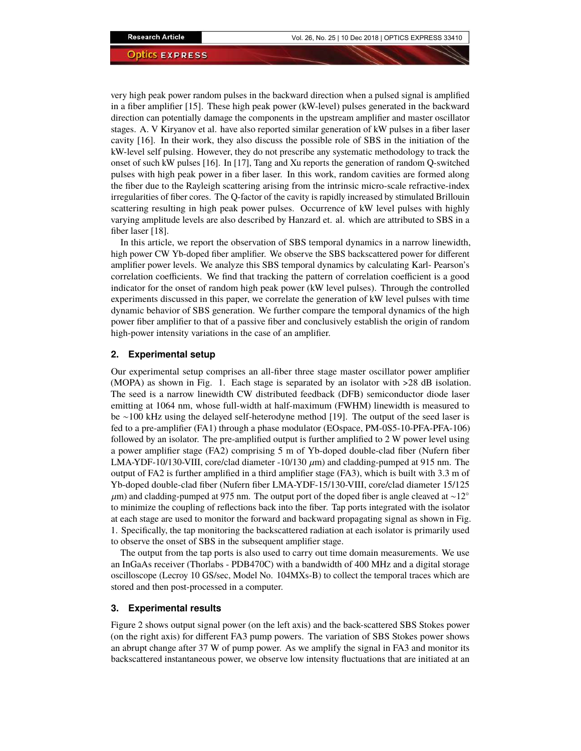very high peak power random pulses in the backward direction when a pulsed signal is amplified in a fiber amplifier [15]. These high peak power (kW-level) pulses generated in the backward direction can potentially damage the components in the upstream amplifier and master oscillator stages. A. V Kiryanov et al. have also reported similar generation of kW pulses in a fiber laser cavity [16]. In their work, they also discuss the possible role of SBS in the initiation of the kW-level self pulsing. However, they do not prescribe any systematic methodology to track the onset of such kW pulses [16]. In [17], Tang and Xu reports the generation of random Q-switched pulses with high peak power in a fiber laser. In this work, random cavities are formed along the fiber due to the Rayleigh scattering arising from the intrinsic micro-scale refractive-index irregularities of fiber cores. The Q-factor of the cavity is rapidly increased by stimulated Brillouin scattering resulting in high peak power pulses. Occurrence of kW level pulses with highly varying amplitude levels are also described by Hanzard et. al. which are attributed to SBS in a fiber laser [18].

In this article, we report the observation of SBS temporal dynamics in a narrow linewidth, high power CW Yb-doped fiber amplifier. We observe the SBS backscattered power for different amplifier power levels. We analyze this SBS temporal dynamics by calculating Karl- Pearson's correlation coefficients. We find that tracking the pattern of correlation coefficient is a good indicator for the onset of random high peak power (kW level pulses). Through the controlled experiments discussed in this paper, we correlate the generation of kW level pulses with time dynamic behavior of SBS generation. We further compare the temporal dynamics of the high power fiber amplifier to that of a passive fiber and conclusively establish the origin of random high-power intensity variations in the case of an amplifier.

## **2. Experimental setup**

Our experimental setup comprises an all-fiber three stage master oscillator power amplifier (MOPA) as shown in Fig. 1. Each stage is separated by an isolator with >28 dB isolation. The seed is a narrow linewidth CW distributed feedback (DFB) semiconductor diode laser emitting at 1064 nm, whose full-width at half-maximum (FWHM) linewidth is measured to be ∼100 kHz using the delayed self-heterodyne method [19]. The output of the seed laser is fed to a pre-amplifier (FA1) through a phase modulator (EOspace, PM-0S5-10-PFA-PFA-106) followed by an isolator. The pre-amplified output is further amplified to 2 W power level using a power amplifier stage (FA2) comprising 5 m of Yb-doped double-clad fiber (Nufern fiber LMA-YDF-10/130-VIII, core/clad diameter -10/130  $\mu$ m) and cladding-pumped at 915 nm. The output of FA2 is further amplified in a third amplifier stage (FA3), which is built with 3.3 m of Yb-doped double-clad fiber (Nufern fiber LMA-YDF-15/130-VIII, core/clad diameter 15/125  $\mu$ m) and cladding-pumped at 975 nm. The output port of the doped fiber is angle cleaved at ~12° to minimize the coupling of reflections back into the fiber. Tap ports integrated with the isolator at each stage are used to monitor the forward and backward propagating signal as shown in Fig. 1. Specifically, the tap monitoring the backscattered radiation at each isolator is primarily used to observe the onset of SBS in the subsequent amplifier stage.

The output from the tap ports is also used to carry out time domain measurements. We use an InGaAs receiver (Thorlabs - PDB470C) with a bandwidth of 400 MHz and a digital storage oscilloscope (Lecroy 10 GS/sec, Model No. 104MXs-B) to collect the temporal traces which are stored and then post-processed in a computer.

#### **3. Experimental results**

Figure 2 shows output signal power (on the left axis) and the back-scattered SBS Stokes power (on the right axis) for different FA3 pump powers. The variation of SBS Stokes power shows an abrupt change after 37 W of pump power. As we amplify the signal in FA3 and monitor its backscattered instantaneous power, we observe low intensity fluctuations that are initiated at an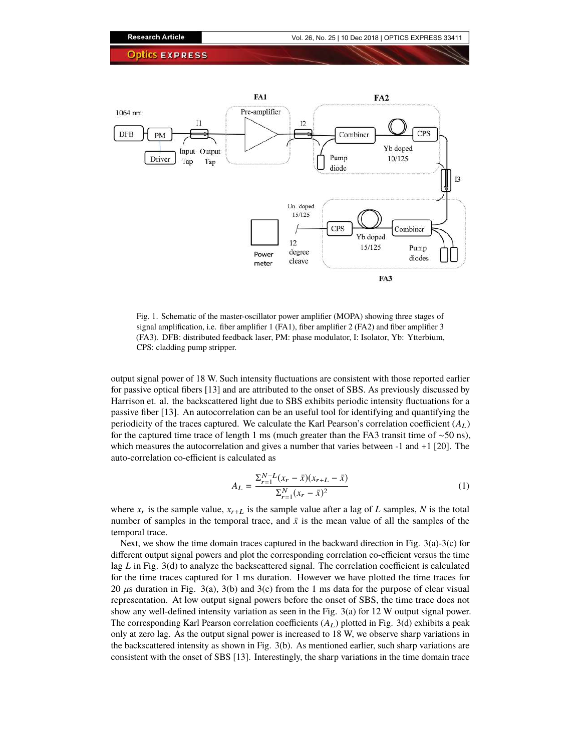

Fig. 1. Schematic of the master-oscillator power amplifier (MOPA) showing three stages of signal amplification, i.e. fiber amplifier 1 (FA1), fiber amplifier 2 (FA2) and fiber amplifier 3 (FA3). DFB: distributed feedback laser, PM: phase modulator, I: Isolator, Yb: Ytterbium, CPS: cladding pump stripper.

output signal power of 18 W. Such intensity fluctuations are consistent with those reported earlier for passive optical fibers [13] and are attributed to the onset of SBS. As previously discussed by Harrison et. al. the backscattered light due to SBS exhibits periodic intensity fluctuations for a passive fiber [13]. An autocorrelation can be an useful tool for identifying and quantifying the periodicity of the traces captured. We calculate the Karl Pearson's correlation coefficient  $(A_L)$ for the captured time trace of length 1 ms (much greater than the FA3 transit time of  $\sim$ 50 ns), which measures the autocorrelation and gives a number that varies between  $-1$  and  $+1$  [20]. The auto-correlation co-efficient is calculated as

$$
A_L = \frac{\sum_{r=1}^{N-L} (x_r - \bar{x})(x_{r+L} - \bar{x})}{\sum_{r=1}^{N} (x_r - \bar{x})^2}
$$
(1)

where  $x_r$  is the sample value,  $x_{r+L}$  is the sample value after a lag of *L* samples, *N* is the total number of samples in the temporal trace, and  $\bar{x}$  is the mean value of all the samples of the temporal trace.

Next, we show the time domain traces captured in the backward direction in Fig.  $3(a)-3(c)$  for different output signal powers and plot the corresponding correlation co-efficient versus the time lag *L* in Fig. 3(d) to analyze the backscattered signal. The correlation coefficient is calculated for the time traces captured for 1 ms duration. However we have plotted the time traces for 20  $\mu$ s duration in Fig. 3(a), 3(b) and 3(c) from the 1 ms data for the purpose of clear visual representation. At low output signal powers before the onset of SBS, the time trace does not show any well-defined intensity variation as seen in the Fig. 3(a) for 12 W output signal power. The corresponding Karl Pearson correlation coefficients  $(A_L)$  plotted in Fig. 3(d) exhibits a peak only at zero lag. As the output signal power is increased to 18 W, we observe sharp variations in the backscattered intensity as shown in Fig. 3(b). As mentioned earlier, such sharp variations are consistent with the onset of SBS [13]. Interestingly, the sharp variations in the time domain trace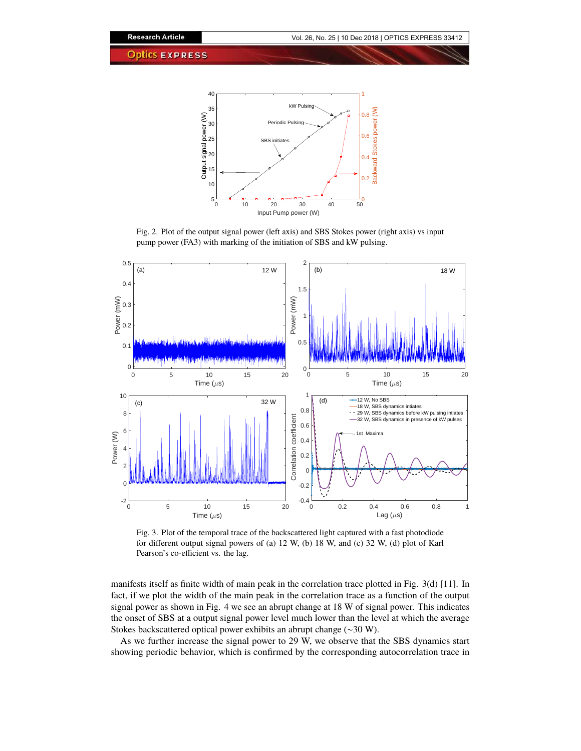

Fig. 2. Plot of the output signal power (left axis) and SBS Stokes power (right axis) vs input pump power (FA3) with marking of the initiation of SBS and kW pulsing.



Fig. 3. Plot of the temporal trace of the backscattered light captured with a fast photodiode for different output signal powers of (a) 12 W, (b) 18 W, and (c) 32 W, (d) plot of Karl Pearson's co-efficient vs. the lag.

manifests itself as finite width of main peak in the correlation trace plotted in Fig. 3(d) [11]. In fact, if we plot the width of the main peak in the correlation trace as a function of the output signal power as shown in Fig. 4 we see an abrupt change at 18 W of signal power. This indicates the onset of SBS at a output signal power level much lower than the level at which the average Stokes backscattered optical power exhibits an abrupt change (∼30 W).

As we further increase the signal power to 29 W, we observe that the SBS dynamics start showing periodic behavior, which is confirmed by the corresponding autocorrelation trace in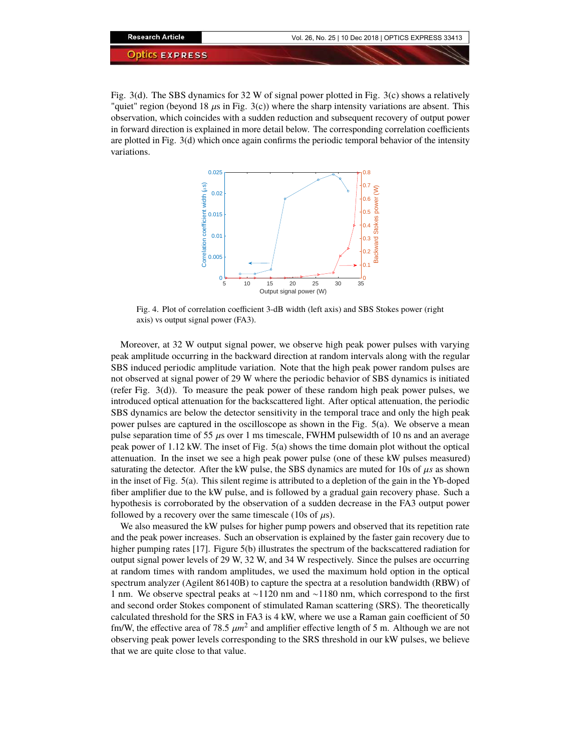

Fig. 3(d). The SBS dynamics for 32 W of signal power plotted in Fig. 3(c) shows a relatively "quiet" region (beyond 18  $\mu$ s in Fig. 3(c)) where the sharp intensity variations are absent. This observation, which coincides with a sudden reduction and subsequent recovery of output power in forward direction is explained in more detail below. The corresponding correlation coefficients are plotted in Fig. 3(d) which once again confirms the periodic temporal behavior of the intensity variations.



Fig. 4. Plot of correlation coefficient 3-dB width (left axis) and SBS Stokes power (right axis) vs output signal power (FA3).

Moreover, at 32 W output signal power, we observe high peak power pulses with varying peak amplitude occurring in the backward direction at random intervals along with the regular SBS induced periodic amplitude variation. Note that the high peak power random pulses are not observed at signal power of 29 W where the periodic behavior of SBS dynamics is initiated (refer Fig. 3(d)). To measure the peak power of these random high peak power pulses, we introduced optical attenuation for the backscattered light. After optical attenuation, the periodic SBS dynamics are below the detector sensitivity in the temporal trace and only the high peak power pulses are captured in the oscilloscope as shown in the Fig. 5(a). We observe a mean pulse separation time of 55  $\mu$ s over 1 ms timescale, FWHM pulsewidth of 10 ns and an average peak power of 1.12 kW. The inset of Fig. 5(a) shows the time domain plot without the optical attenuation. In the inset we see a high peak power pulse (one of these kW pulses measured) saturating the detector. After the kW pulse, the SBS dynamics are muted for 10s of  $\mu$ s as shown in the inset of Fig. 5(a). This silent regime is attributed to a depletion of the gain in the Yb-doped fiber amplifier due to the kW pulse, and is followed by a gradual gain recovery phase. Such a hypothesis is corroborated by the observation of a sudden decrease in the FA3 output power followed by a recovery over the same timescale (10s of  $\mu$ s).

We also measured the kW pulses for higher pump powers and observed that its repetition rate and the peak power increases. Such an observation is explained by the faster gain recovery due to higher pumping rates [17]. Figure 5(b) illustrates the spectrum of the backscattered radiation for output signal power levels of 29 W, 32 W, and 34 W respectively. Since the pulses are occurring at random times with random amplitudes, we used the maximum hold option in the optical spectrum analyzer (Agilent 86140B) to capture the spectra at a resolution bandwidth (RBW) of 1 nm. We observe spectral peaks at ∼1120 nm and ∼1180 nm, which correspond to the first and second order Stokes component of stimulated Raman scattering (SRS). The theoretically calculated threshold for the SRS in FA3 is 4 kW, where we use a Raman gain coefficient of 50 fm/W, the effective area of 78.5  $\mu m^2$  and amplifier effective length of 5 m. Although we are not observing peak power levels corresponding to the SRS threshold in our kW pulses, we believe that we are quite close to that value.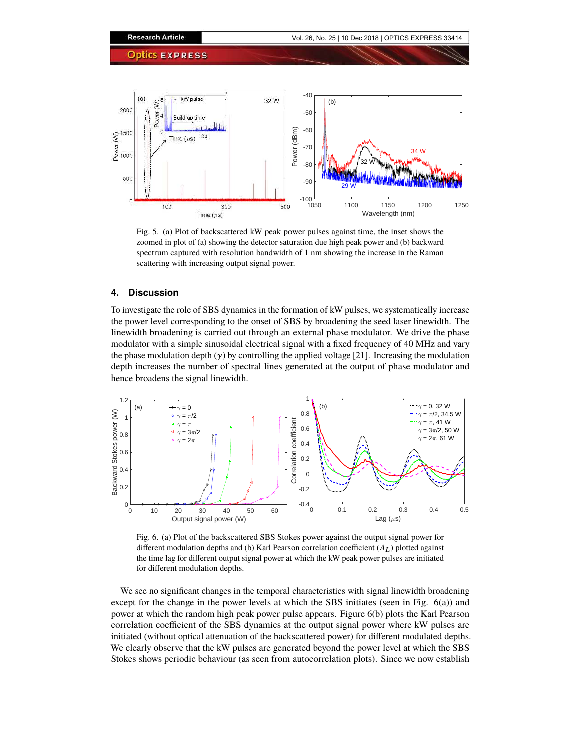

Fig. 5. (a) Plot of backscattered kW peak power pulses against time, the inset shows the zoomed in plot of (a) showing the detector saturation due high peak power and (b) backward spectrum captured with resolution bandwidth of 1 nm showing the increase in the Raman scattering with increasing output signal power.

## **4. Discussion**

To investigate the role of SBS dynamics in the formation of kW pulses, we systematically increase the power level corresponding to the onset of SBS by broadening the seed laser linewidth. The linewidth broadening is carried out through an external phase modulator. We drive the phase modulator with a simple sinusoidal electrical signal with a fixed frequency of 40 MHz and vary the phase modulation depth  $(y)$  by controlling the applied voltage [21]. Increasing the modulation depth increases the number of spectral lines generated at the output of phase modulator and hence broadens the signal linewidth.



Fig. 6. (a) Plot of the backscattered SBS Stokes power against the output signal power for different modulation depths and (b) Karl Pearson correlation coefficient (*A*L) plotted against the time lag for different output signal power at which the kW peak power pulses are initiated for different modulation depths.

We see no significant changes in the temporal characteristics with signal linewidth broadening except for the change in the power levels at which the SBS initiates (seen in Fig. 6(a)) and power at which the random high peak power pulse appears. Figure 6(b) plots the Karl Pearson correlation coefficient of the SBS dynamics at the output signal power where kW pulses are initiated (without optical attenuation of the backscattered power) for different modulated depths. We clearly observe that the kW pulses are generated beyond the power level at which the SBS Stokes shows periodic behaviour (as seen from autocorrelation plots). Since we now establish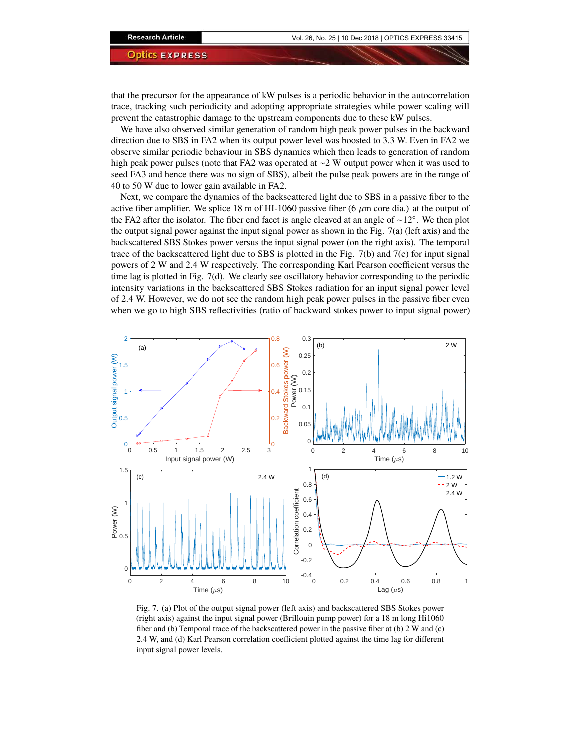that the precursor for the appearance of kW pulses is a periodic behavior in the autocorrelation trace, tracking such periodicity and adopting appropriate strategies while power scaling will prevent the catastrophic damage to the upstream components due to these kW pulses.

We have also observed similar generation of random high peak power pulses in the backward direction due to SBS in FA2 when its output power level was boosted to 3.3 W. Even in FA2 we observe similar periodic behaviour in SBS dynamics which then leads to generation of random high peak power pulses (note that FA2 was operated at ∼2 W output power when it was used to seed FA3 and hence there was no sign of SBS), albeit the pulse peak powers are in the range of 40 to 50 W due to lower gain available in FA2.

Next, we compare the dynamics of the backscattered light due to SBS in a passive fiber to the active fiber amplifier. We splice 18 m of HI-1060 passive fiber (6  $\mu$ m core dia.) at the output of the FA2 after the isolator. The fiber end facet is angle cleaved at an angle of ∼12◦ . We then plot the output signal power against the input signal power as shown in the Fig. 7(a) (left axis) and the backscattered SBS Stokes power versus the input signal power (on the right axis). The temporal trace of the backscattered light due to SBS is plotted in the Fig.  $7(b)$  and  $7(c)$  for input signal powers of 2 W and 2.4 W respectively. The corresponding Karl Pearson coefficient versus the time lag is plotted in Fig. 7(d). We clearly see oscillatory behavior corresponding to the periodic intensity variations in the backscattered SBS Stokes radiation for an input signal power level of 2.4 W. However, we do not see the random high peak power pulses in the passive fiber even when we go to high SBS reflectivities (ratio of backward stokes power to input signal power)



Fig. 7. (a) Plot of the output signal power (left axis) and backscattered SBS Stokes power (right axis) against the input signal power (Brillouin pump power) for a 18 m long Hi1060 fiber and (b) Temporal trace of the backscattered power in the passive fiber at (b) 2 W and (c) 2.4 W, and (d) Karl Pearson correlation coefficient plotted against the time lag for different input signal power levels.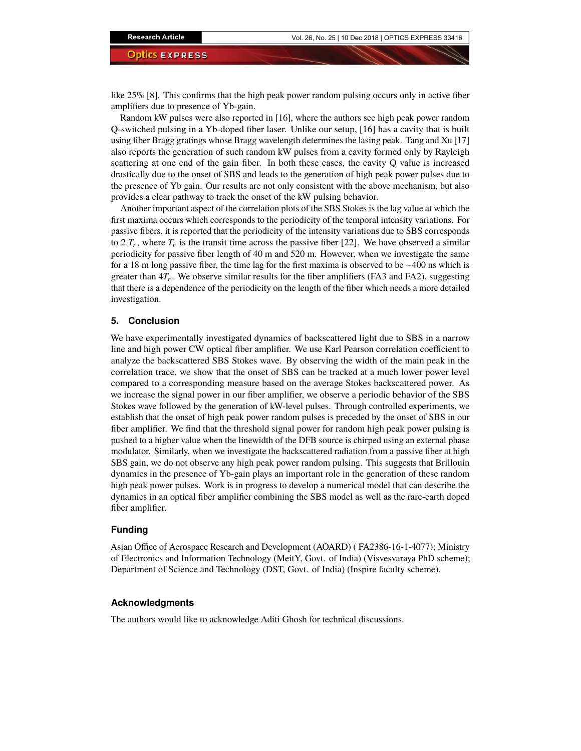like 25% [8]. This confirms that the high peak power random pulsing occurs only in active fiber amplifiers due to presence of Yb-gain.

Random kW pulses were also reported in [16], where the authors see high peak power random Q-switched pulsing in a Yb-doped fiber laser. Unlike our setup, [16] has a cavity that is built using fiber Bragg gratings whose Bragg wavelength determines the lasing peak. Tang and Xu [17] also reports the generation of such random kW pulses from a cavity formed only by Rayleigh scattering at one end of the gain fiber. In both these cases, the cavity Q value is increased drastically due to the onset of SBS and leads to the generation of high peak power pulses due to the presence of Yb gain. Our results are not only consistent with the above mechanism, but also provides a clear pathway to track the onset of the kW pulsing behavior.

Another important aspect of the correlation plots of the SBS Stokes is the lag value at which the first maxima occurs which corresponds to the periodicity of the temporal intensity variations. For passive fibers, it is reported that the periodicity of the intensity variations due to SBS corresponds to 2  $T_r$ , where  $T_r$  is the transit time across the passive fiber [22]. We have observed a similar periodicity for passive fiber length of 40 m and 520 m. However, when we investigate the same for a 18 m long passive fiber, the time lag for the first maxima is observed to be ∼400 ns which is greater than  $4T_r$ . We observe similar results for the fiber amplifiers (FA3 and FA2), suggesting that there is a dependence of the periodicity on the length of the fiber which needs a more detailed investigation.

### **5. Conclusion**

We have experimentally investigated dynamics of backscattered light due to SBS in a narrow line and high power CW optical fiber amplifier. We use Karl Pearson correlation coefficient to analyze the backscattered SBS Stokes wave. By observing the width of the main peak in the correlation trace, we show that the onset of SBS can be tracked at a much lower power level compared to a corresponding measure based on the average Stokes backscattered power. As we increase the signal power in our fiber amplifier, we observe a periodic behavior of the SBS Stokes wave followed by the generation of kW-level pulses. Through controlled experiments, we establish that the onset of high peak power random pulses is preceded by the onset of SBS in our fiber amplifier. We find that the threshold signal power for random high peak power pulsing is pushed to a higher value when the linewidth of the DFB source is chirped using an external phase modulator. Similarly, when we investigate the backscattered radiation from a passive fiber at high SBS gain, we do not observe any high peak power random pulsing. This suggests that Brillouin dynamics in the presence of Yb-gain plays an important role in the generation of these random high peak power pulses. Work is in progress to develop a numerical model that can describe the dynamics in an optical fiber amplifier combining the SBS model as well as the rare-earth doped fiber amplifier.

## **Funding**

Asian Office of Aerospace Research and Development (AOARD) ( FA2386-16-1-4077); Ministry of Electronics and Information Technology (MeitY, Govt. of India) (Visvesvaraya PhD scheme); Department of Science and Technology (DST, Govt. of India) (Inspire faculty scheme).

#### **Acknowledgments**

The authors would like to acknowledge Aditi Ghosh for technical discussions.